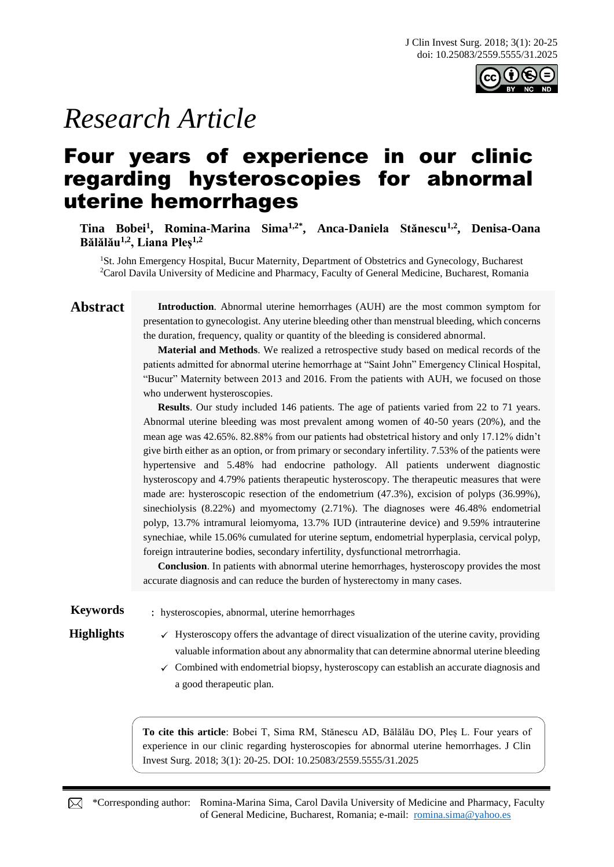

# *Research Article*

## Four years of experience in our clinic regarding hysteroscopies for abnormal uterine hemorrhages

**Tina Bobei<sup>1</sup> , Romina-Marina Sima1,2\* , Anca-Daniela Stănescu1,2 , Denisa-Oana Bălălău1,2, Liana Pleș1,2**

<sup>1</sup>St. John Emergency Hospital, Bucur Maternity, Department of Obstetrics and Gynecology, Bucharest <sup>2</sup>Carol Davila University of Medicine and Pharmacy, Faculty of General Medicine, Bucharest, Romania

**Abstract Introduction**. Abnormal uterine hemorrhages (AUH) are the most common symptom for presentation to gynecologist. Any uterine bleeding other than menstrual bleeding, which concerns the duration, frequency, quality or quantity of the bleeding is considered abnormal.

> **Material and Methods**. We realized a retrospective study based on medical records of the patients admitted for abnormal uterine hemorrhage at "Saint John" Emergency Clinical Hospital, "Bucur" Maternity between 2013 and 2016. From the patients with AUH, we focused on those who underwent hysteroscopies.

> **Results**. Our study included 146 patients. The age of patients varied from 22 to 71 years. Abnormal uterine bleeding was most prevalent among women of 40-50 years (20%), and the mean age was 42.65%. 82.88% from our patients had obstetrical history and only 17.12% didn't give birth either as an option, or from primary or secondary infertility. 7.53% of the patients were hypertensive and 5.48% had endocrine pathology. All patients underwent diagnostic hysteroscopy and 4.79% patients therapeutic hysteroscopy. The therapeutic measures that were made are: hysteroscopic resection of the endometrium (47.3%), excision of polyps (36.99%), sinechiolysis (8.22%) and myomectomy (2.71%). The diagnoses were 46.48% endometrial polyp, 13.7% intramural leiomyoma, 13.7% IUD (intrauterine device) and 9.59% intrauterine synechiae, while 15.06% cumulated for uterine septum, endometrial hyperplasia, cervical polyp, foreign intrauterine bodies, secondary infertility, dysfunctional metrorrhagia.

> **Conclusion**. In patients with abnormal uterine hemorrhages, hysteroscopy provides the most accurate diagnosis and can reduce the burden of hysterectomy in many cases.

**Keywords** : hysteroscopies, abnormal, uterine hemorrhages

- **Highlights**  $\checkmark$  Hysteroscopy offers the advantage of direct visualization of the uterine cavity, providing valuable information about any abnormality that can determine abnormal uterine bleeding
	- $\checkmark$  Combined with endometrial biopsy, hysteroscopy can establish an accurate diagnosis and a good therapeutic plan.

**To cite this article**: Bobei T, Sima RM, Stănescu AD, Bălălău DO, Pleș L. Four years of experience in our clinic regarding hysteroscopies for abnormal uterine hemorrhages. J Clin Invest Surg. 2018; 3(1): 20-25. DOI: 10.25083/2559.5555/31.2025

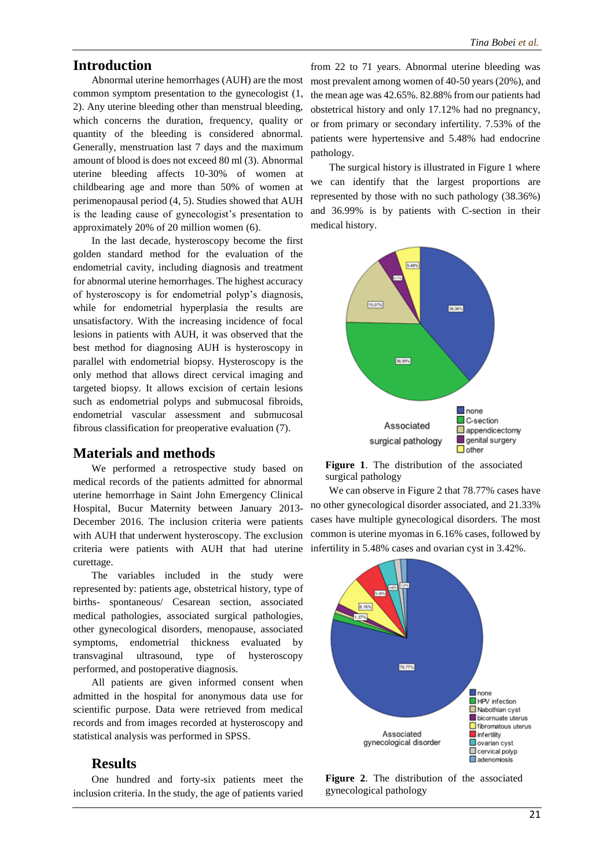### **Introduction**

Abnormal uterine hemorrhages (AUH) are the most common symptom presentation to the gynecologist (1, 2). Any uterine bleeding other than menstrual bleeding, which concerns the duration, frequency, quality or quantity of the bleeding is considered abnormal. Generally, menstruation last 7 days and the maximum amount of blood is does not exceed 80 ml (3). Abnormal uterine bleeding affects 10-30% of women at childbearing age and more than 50% of women at perimenopausal period (4, 5). Studies showed that AUH is the leading cause of gynecologist's presentation to approximately 20% of 20 million women (6).

In the last decade, hysteroscopy become the first golden standard method for the evaluation of the endometrial cavity, including diagnosis and treatment for abnormal uterine hemorrhages. The highest accuracy of hysteroscopy is for endometrial polyp's diagnosis, while for endometrial hyperplasia the results are unsatisfactory. With the increasing incidence of focal lesions in patients with AUH, it was observed that the best method for diagnosing AUH is hysteroscopy in parallel with endometrial biopsy. Hysteroscopy is the only method that allows direct cervical imaging and targeted biopsy. It allows excision of certain lesions such as endometrial polyps and submucosal fibroids, endometrial vascular assessment and submucosal fibrous classification for preoperative evaluation (7).

#### **Materials and methods**

We performed a retrospective study based on medical records of the patients admitted for abnormal uterine hemorrhage in Saint John Emergency Clinical Hospital, Bucur Maternity between January 2013- December 2016. The inclusion criteria were patients with AUH that underwent hysteroscopy. The exclusion criteria were patients with AUH that had uterine curettage.

The variables included in the study were represented by: patients age, obstetrical history, type of births- spontaneous/ Cesarean section, associated medical pathologies, associated surgical pathologies, other gynecological disorders, menopause, associated symptoms, endometrial thickness evaluated by transvaginal ultrasound, type of hysteroscopy performed, and postoperative diagnosis.

All patients are given informed consent when admitted in the hospital for anonymous data use for scientific purpose. Data were retrieved from medical records and from images recorded at hysteroscopy and statistical analysis was performed in SPSS.

### **Results**

One hundred and forty-six patients meet the inclusion criteria. In the study, the age of patients varied

from 22 to 71 years. Abnormal uterine bleeding was most prevalent among women of 40-50 years (20%), and the mean age was 42.65%. 82.88% from our patients had obstetrical history and only 17.12% had no pregnancy, or from primary or secondary infertility. 7.53% of the patients were hypertensive and 5.48% had endocrine pathology.

The surgical history is illustrated in Figure 1 where we can identify that the largest proportions are represented by those with no such pathology (38.36%) and 36.99% is by patients with C-section in their medical history.



**Figure 1**. The distribution of the associated surgical pathology

We can observe in Figure 2 that 78.77% cases have no other gynecological disorder associated, and 21.33% cases have multiple gynecological disorders. The most common is uterine myomas in 6.16% cases, followed by infertility in 5.48% cases and ovarian cyst in 3.42%.



**Figure 2**. The distribution of the associated gynecological pathology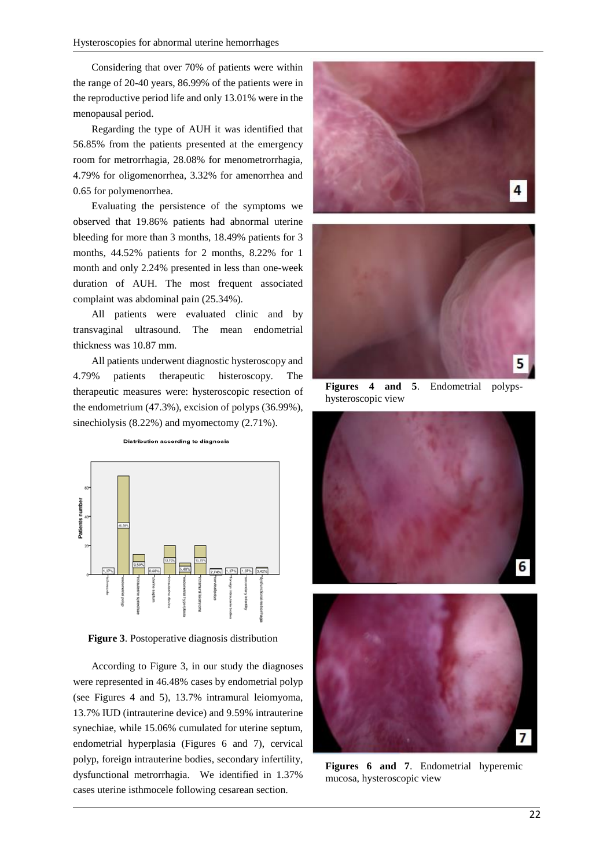Considering that over 70% of patients were within the range of 20-40 years, 86.99% of the patients were in the reproductive period life and only 13.01% were in the menopausal period.

Regarding the type of AUH it was identified that 56.85% from the patients presented at the emergency room for metrorrhagia, 28.08% for menometrorrhagia, 4.79% for oligomenorrhea, 3.32% for amenorrhea and 0.65 for polymenorrhea.

Evaluating the persistence of the symptoms we observed that 19.86% patients had abnormal uterine bleeding for more than 3 months, 18.49% patients for 3 months, 44.52% patients for 2 months, 8.22% for 1 month and only 2.24% presented in less than one-week duration of AUH. The most frequent associated complaint was abdominal pain (25.34%).

All patients were evaluated clinic and by transvaginal ultrasound. The mean endometrial thickness was 10.87 mm.

All patients underwent diagnostic hysteroscopy and 4.79% patients therapeutic histeroscopy. The therapeutic measures were: hysteroscopic resection of the endometrium (47.3%), excision of polyps (36.99%), sinechiolysis (8.22%) and myomectomy (2.71%).



Distribution according to diagnosis

**Figure 3**. Postoperative diagnosis distribution

According to Figure 3, in our study the diagnoses were represented in 46.48% cases by endometrial polyp (see Figures 4 and 5), 13.7% intramural leiomyoma, 13.7% IUD (intrauterine device) and 9.59% intrauterine synechiae, while 15.06% cumulated for uterine septum, endometrial hyperplasia (Figures 6 and 7), cervical polyp, foreign intrauterine bodies, secondary infertility, dysfunctional metrorrhagia. We identified in 1.37% cases uterine isthmocele following cesarean section.



**Figures 4 and 5**. Endometrial polypshysteroscopic view





**Figures 6 and 7**. Endometrial hyperemic mucosa, hysteroscopic view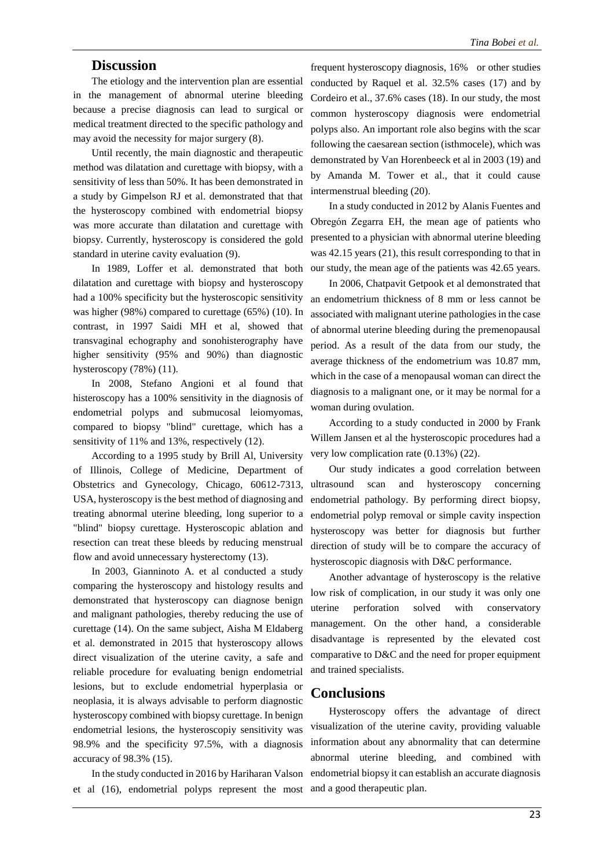#### **Discussion**

The etiology and the intervention plan are essential in the management of abnormal uterine bleeding because a precise diagnosis can lead to surgical or medical treatment directed to the specific pathology and may avoid the necessity for major surgery (8).

Until recently, the main diagnostic and therapeutic method was dilatation and curettage with biopsy, with a sensitivity of less than 50%. It has been demonstrated in a study by Gimpelson RJ et al. demonstrated that that the hysteroscopy combined with endometrial biopsy was more accurate than dilatation and curettage with biopsy. Currently, hysteroscopy is considered the gold standard in uterine cavity evaluation (9).

In 1989, Loffer et al. demonstrated that both dilatation and curettage with biopsy and hysteroscopy had a 100% specificity but the hysteroscopic sensitivity was higher (98%) compared to curettage (65%) (10). In contrast, in 1997 Saidi MH et al, showed that transvaginal echography and sonohisterography have higher sensitivity (95% and 90%) than diagnostic hysteroscopy (78%) (11).

In 2008, Stefano Angioni et al found that histeroscopy has a 100% sensitivity in the diagnosis of endometrial polyps and submucosal leiomyomas, compared to biopsy "blind" curettage, which has a sensitivity of 11% and 13%, respectively (12).

According to a 1995 study by Brill Al, University of Illinois, College of Medicine, Department of Obstetrics and Gynecology, Chicago, 60612-7313, USA, hysteroscopy is the best method of diagnosing and treating abnormal uterine bleeding, long superior to a "blind" biopsy curettage. Hysteroscopic ablation and resection can treat these bleeds by reducing menstrual flow and avoid unnecessary hysterectomy (13).

In 2003, Gianninoto A. et al conducted a study comparing the hysteroscopy and histology results and demonstrated that hysteroscopy can diagnose benign and malignant pathologies, thereby reducing the use of curettage (14). On the same subject, Aisha M Eldaberg et al. demonstrated in 2015 that hysteroscopy allows direct visualization of the uterine cavity, a safe and reliable procedure for evaluating benign endometrial lesions, but to exclude endometrial hyperplasia or neoplasia, it is always advisable to perform diagnostic hysteroscopy combined with biopsy curettage. In benign endometrial lesions, the hysteroscopiy sensitivity was 98.9% and the specificity 97.5%, with a diagnosis accuracy of 98.3% (15).

In the study conducted in 2016 by Hariharan Valson et al (16), endometrial polyps represent the most and a good therapeutic plan.

frequent hysteroscopy diagnosis, 16% or other studies conducted by Raquel et al. 32.5% cases (17) and by Cordeiro et al., 37.6% cases (18). In our study, the most common hysteroscopy diagnosis were endometrial polyps also. An important role also begins with the scar following the caesarean section (isthmocele), which was demonstrated by Van Horenbeeck et al in 2003 (19) and by Amanda M. Tower et al., that it could cause intermenstrual bleeding (20).

In a study conducted in 2012 by Alanis Fuentes and Obregón Zegarra EH, the mean age of patients who presented to a physician with abnormal uterine bleeding was 42.15 years (21), this result corresponding to that in our study, the mean age of the patients was 42.65 years.

In 2006, Chatpavit Getpook et al demonstrated that an endometrium thickness of 8 mm or less cannot be associated with malignant uterine pathologies in the case of abnormal uterine bleeding during the premenopausal period. As a result of the data from our study, the average thickness of the endometrium was 10.87 mm, which in the case of a menopausal woman can direct the diagnosis to a malignant one, or it may be normal for a woman during ovulation.

According to a study conducted in 2000 by Frank Willem Jansen et al the hysteroscopic procedures had a very low complication rate (0.13%) (22).

Our study indicates a good correlation between ultrasound scan and hysteroscopy concerning endometrial pathology. By performing direct biopsy, endometrial polyp removal or simple cavity inspection hysteroscopy was better for diagnosis but further direction of study will be to compare the accuracy of hysteroscopic diagnosis with D&C performance.

Another advantage of hysteroscopy is the relative low risk of complication, in our study it was only one uterine perforation solved with conservatory management. On the other hand, a considerable disadvantage is represented by the elevated cost comparative to D&C and the need for proper equipment and trained specialists.

#### **Conclusions**

Hysteroscopy offers the advantage of direct visualization of the uterine cavity, providing valuable information about any abnormality that can determine abnormal uterine bleeding, and combined with endometrial biopsy it can establish an accurate diagnosis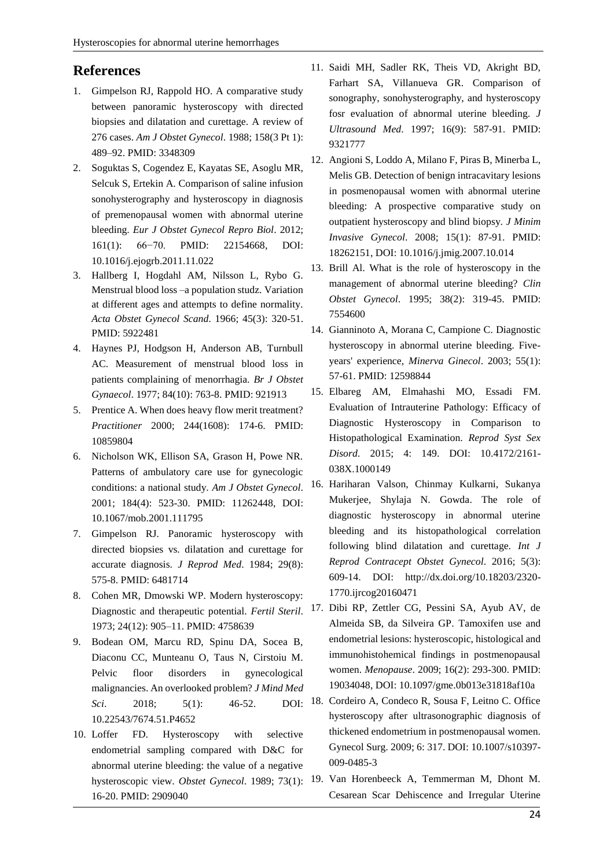### **References**

- 1. Gimpelson RJ, Rappold HO. A comparative study between panoramic hysteroscopy with directed biopsies and dilatation and curettage. A review of 276 cases. *Am J Obstet Gynecol*. 1988; 158(3 Pt 1): 489–92. PMID: 3348309
- 2. Soguktas S, Cogendez E, Kayatas SE, Asoglu MR, Selcuk S, Ertekin A. Comparison of saline infusion sonohysterography and hysteroscopy in diagnosis of premenopausal women with abnormal uterine bleeding. *Eur J Obstet Gynecol Repro Biol*. 2012; 161(1): 66−70. PMID: 22154668, DOI: 10.1016/j.ejogrb.2011.11.022
- 3. Hallberg I, Hogdahl AM, Nilsson L, Rybo G. Menstrual blood loss –a population studz. Variation at different ages and attempts to define normality. *Acta Obstet Gynecol Scand.* 1966; 45(3): 320-51. PMID: 5922481
- 4. Haynes PJ, Hodgson H, Anderson AB, Turnbull AC. Measurement of menstrual blood loss in patients complaining of menorrhagia. *Br J Obstet Gynaecol*. 1977; 84(10): 763-8. PMID: 921913
- 5. Prentice A. When does heavy flow merit treatment? *Practitioner* 2000; 244(1608): 174-6. PMID: 10859804
- 6. Nicholson WK, Ellison SA, Grason H, Powe NR. Patterns of ambulatory care use for gynecologic conditions: a national study. *Am J Obstet Gynecol*. 2001; 184(4): 523-30. PMID: 11262448, DOI: 10.1067/mob.2001.111795
- 7. Gimpelson RJ. Panoramic hysteroscopy with directed biopsies vs. dilatation and curettage for accurate diagnosis. *J Reprod Med*. 1984; 29(8): 575-8. PMID: 6481714
- 8. Cohen MR, Dmowski WP. Modern hysteroscopy: Diagnostic and therapeutic potential. *Fertil Steril*. 1973; 24(12): 905–11. PMID: 4758639
- 9. Bodean OM, Marcu RD, Spinu DA, Socea B, Diaconu CC, Munteanu O, Taus N, Cirstoiu M. Pelvic floor disorders in gynecological malignancies. An overlooked problem? *J Mind Med Sci*. 2018; 5(1): 46-52. DOI: 10.22543/7674.51.P4652
- 10. Loffer FD. Hysteroscopy with selective endometrial sampling compared with D&C for abnormal uterine bleeding: the value of a negative 16-20. PMID: 2909040
- 11. Saidi MH, Sadler RK, Theis VD, Akright BD, Farhart SA, Villanueva GR. Comparison of sonography, sonohysterography, and hysteroscopy fosr evaluation of abnormal uterine bleeding. *J Ultrasound Med*. 1997; 16(9): 587-91. PMID: 9321777
- 12. Angioni S, Loddo A, Milano F, Piras B, Minerba L, Melis GB. Detection of benign intracavitary lesions in posmenopausal women with abnormal uterine bleeding: A prospective comparative study on outpatient hysteroscopy and blind biopsy. *J Minim Invasive Gynecol*. 2008; 15(1): 87-91. PMID: 18262151, DOI: 10.1016/j.jmig.2007.10.014
- 13. Brill Al. What is the role of hysteroscopy in the management of abnormal uterine bleeding? *Clin Obstet Gynecol*. 1995; 38(2): 319-45. PMID: 7554600
- 14. Gianninoto A, Morana C, Campione C. Diagnostic hysteroscopy in abnormal uterine bleeding. Fiveyears' experience, *Minerva Ginecol*. 2003; 55(1): 57-61. PMID: 12598844
- 15. Elbareg AM, Elmahashi MO, Essadi FM. Evaluation of Intrauterine Pathology: Efficacy of Diagnostic Hysteroscopy in Comparison to Histopathological Examination. *Reprod Syst Sex Disord*. 2015; 4: 149. DOI: 10.4172/2161- 038X.1000149
- 16. Hariharan Valson, Chinmay Kulkarni, Sukanya Mukerjee, Shylaja N. Gowda. The role of diagnostic hysteroscopy in abnormal uterine bleeding and its histopathological correlation following blind dilatation and curettage. *Int J Reprod Contracept Obstet Gynecol*. 2016; 5(3): 609-14. DOI: http://dx.doi.org/10.18203/2320- 1770.ijrcog20160471
- 17. Dibi RP, Zettler CG, Pessini SA, Ayub AV, de Almeida SB, da Silveira GP. Tamoxifen use and endometrial lesions: hysteroscopic, histological and immunohistohemical findings in postmenopausal women. *Menopause*. 2009; 16(2): 293-300. PMID: 19034048, DOI: 10.1097/gme.0b013e31818af10a
- 18. Cordeiro A, Condeco R, Sousa F, Leitno C. Office hysteroscopy after ultrasonographic diagnosis of thickened endometrium in postmenopausal women. Gynecol Surg. 2009; 6: 317. DOI: 10.1007/s10397- 009-0485-3
- hysteroscopic view. *Obstet Gynecol*. 1989; 73(1): 19. Van Horenbeeck A, Temmerman M, Dhont M. Cesarean Scar Dehiscence and Irregular Uterine